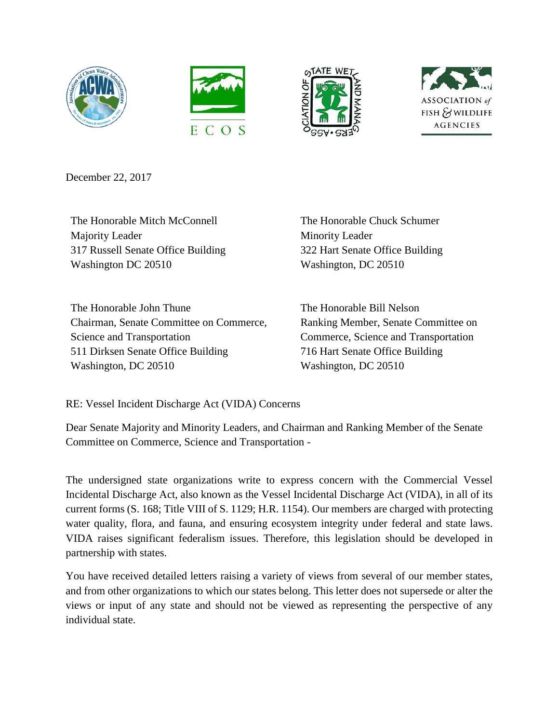







December 22, 2017

The Honorable Mitch McConnell Majority Leader 317 Russell Senate Office Building Washington DC 20510

The Honorable Chuck Schumer Minority Leader 322 Hart Senate Office Building Washington, DC 20510

The Honorable John Thune Chairman, Senate Committee on Commerce, Science and Transportation 511 Dirksen Senate Office Building Washington, DC 20510

The Honorable Bill Nelson Ranking Member, Senate Committee on Commerce, Science and Transportation 716 Hart Senate Office Building Washington, DC 20510

RE: Vessel Incident Discharge Act (VIDA) Concerns

Dear Senate Majority and Minority Leaders, and Chairman and Ranking Member of the Senate Committee on Commerce, Science and Transportation -

The undersigned state organizations write to express concern with the Commercial Vessel Incidental Discharge Act, also known as the Vessel Incidental Discharge Act (VIDA), in all of its current forms (S. 168; Title VIII of S. 1129; H.R. 1154). Our members are charged with protecting water quality, flora, and fauna, and ensuring ecosystem integrity under federal and state laws. VIDA raises significant federalism issues. Therefore, this legislation should be developed in partnership with states.

You have received detailed letters raising a variety of views from several of our member states, and from other organizations to which our states belong. This letter does not supersede or alter the views or input of any state and should not be viewed as representing the perspective of any individual state.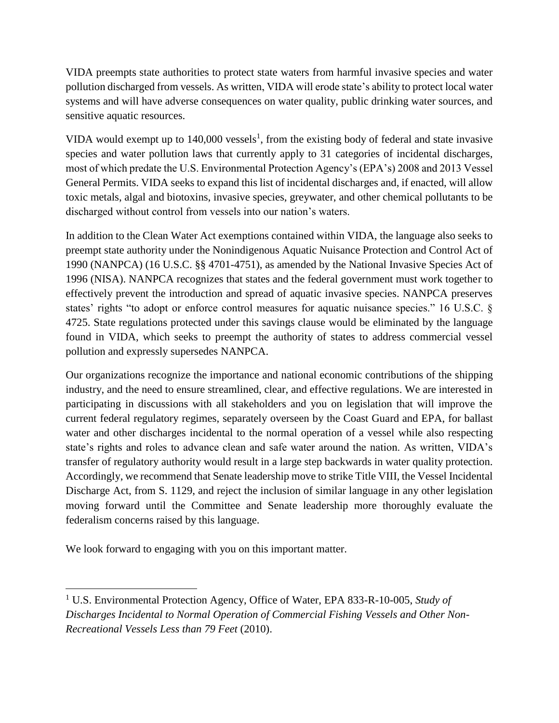VIDA preempts state authorities to protect state waters from harmful invasive species and water pollution discharged from vessels. As written, VIDA will erode state's ability to protect local water systems and will have adverse consequences on water quality, public drinking water sources, and sensitive aquatic resources.

VIDA would exempt up to  $140,000$  vessels<sup>1</sup>, from the existing body of federal and state invasive species and water pollution laws that currently apply to 31 categories of incidental discharges, most of which predate the U.S. Environmental Protection Agency's (EPA's) 2008 and 2013 Vessel General Permits. VIDA seeks to expand this list of incidental discharges and, if enacted, will allow toxic metals, algal and biotoxins, invasive species, greywater, and other chemical pollutants to be discharged without control from vessels into our nation's waters.

In addition to the Clean Water Act exemptions contained within VIDA, the language also seeks to preempt state authority under the Nonindigenous Aquatic Nuisance Protection and Control Act of 1990 (NANPCA) (16 U.S.C. §§ 4701-4751), as amended by the National Invasive Species Act of 1996 (NISA). NANPCA recognizes that states and the federal government must work together to effectively prevent the introduction and spread of aquatic invasive species. NANPCA preserves states' rights "to adopt or enforce control measures for aquatic nuisance species." 16 U.S.C. § 4725. State regulations protected under this savings clause would be eliminated by the language found in VIDA, which seeks to preempt the authority of states to address commercial vessel pollution and expressly supersedes NANPCA.

Our organizations recognize the importance and national economic contributions of the shipping industry, and the need to ensure streamlined, clear, and effective regulations. We are interested in participating in discussions with all stakeholders and you on legislation that will improve the current federal regulatory regimes, separately overseen by the Coast Guard and EPA, for ballast water and other discharges incidental to the normal operation of a vessel while also respecting state's rights and roles to advance clean and safe water around the nation. As written, VIDA's transfer of regulatory authority would result in a large step backwards in water quality protection. Accordingly, we recommend that Senate leadership move to strike Title VIII, the Vessel Incidental Discharge Act, from S. 1129, and reject the inclusion of similar language in any other legislation moving forward until the Committee and Senate leadership more thoroughly evaluate the federalism concerns raised by this language.

We look forward to engaging with you on this important matter.

l

<sup>1</sup> U.S. Environmental Protection Agency, Office of Water, EPA 833-R-10-005, *Study of Discharges Incidental to Normal Operation of Commercial Fishing Vessels and Other Non-Recreational Vessels Less than 79 Feet* (2010).